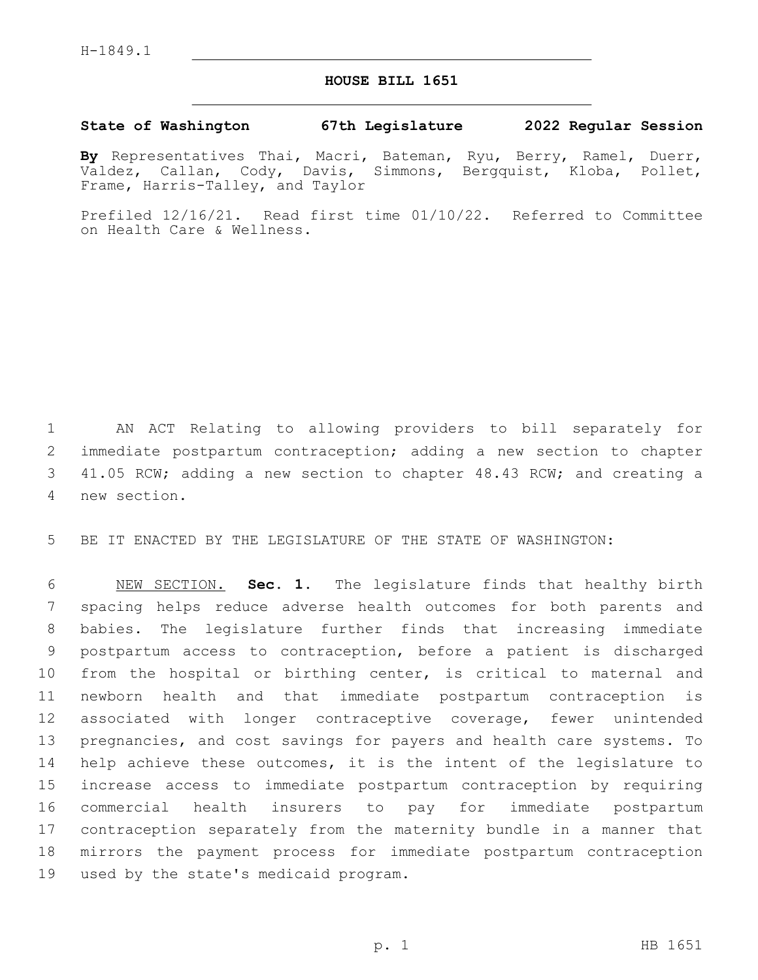## **HOUSE BILL 1651**

## **State of Washington 67th Legislature 2022 Regular Session**

**By** Representatives Thai, Macri, Bateman, Ryu, Berry, Ramel, Duerr, Valdez, Callan, Cody, Davis, Simmons, Bergquist, Kloba, Pollet, Frame, Harris-Talley, and Taylor

Prefiled 12/16/21. Read first time 01/10/22. Referred to Committee on Health Care & Wellness.

 AN ACT Relating to allowing providers to bill separately for immediate postpartum contraception; adding a new section to chapter 41.05 RCW; adding a new section to chapter 48.43 RCW; and creating a new section.4

BE IT ENACTED BY THE LEGISLATURE OF THE STATE OF WASHINGTON:

 NEW SECTION. **Sec. 1.** The legislature finds that healthy birth spacing helps reduce adverse health outcomes for both parents and babies. The legislature further finds that increasing immediate postpartum access to contraception, before a patient is discharged from the hospital or birthing center, is critical to maternal and newborn health and that immediate postpartum contraception is associated with longer contraceptive coverage, fewer unintended pregnancies, and cost savings for payers and health care systems. To help achieve these outcomes, it is the intent of the legislature to increase access to immediate postpartum contraception by requiring commercial health insurers to pay for immediate postpartum contraception separately from the maternity bundle in a manner that mirrors the payment process for immediate postpartum contraception used by the state's medicaid program.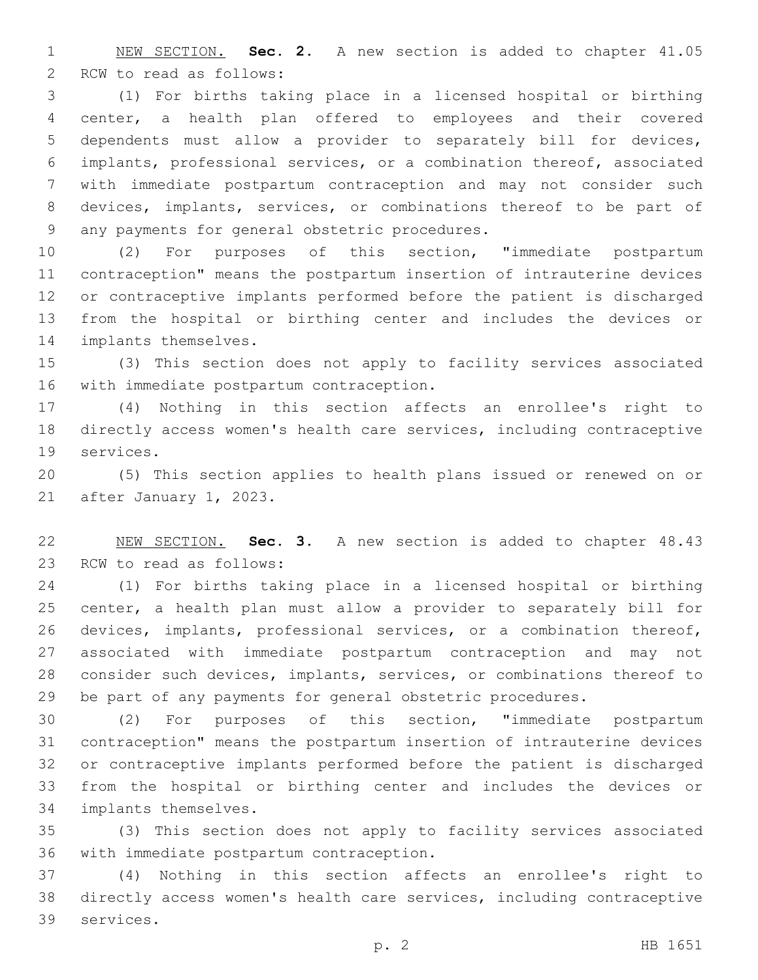NEW SECTION. **Sec. 2.** A new section is added to chapter 41.05 2 RCW to read as follows:

 (1) For births taking place in a licensed hospital or birthing center, a health plan offered to employees and their covered dependents must allow a provider to separately bill for devices, implants, professional services, or a combination thereof, associated with immediate postpartum contraception and may not consider such devices, implants, services, or combinations thereof to be part of 9 any payments for general obstetric procedures.

 (2) For purposes of this section, "immediate postpartum contraception" means the postpartum insertion of intrauterine devices or contraceptive implants performed before the patient is discharged from the hospital or birthing center and includes the devices or 14 implants themselves.

 (3) This section does not apply to facility services associated 16 with immediate postpartum contraception.

 (4) Nothing in this section affects an enrollee's right to directly access women's health care services, including contraceptive 19 services.

 (5) This section applies to health plans issued or renewed on or 21 after January 1, 2023.

 NEW SECTION. **Sec. 3.** A new section is added to chapter 48.43 23 RCW to read as follows:

 (1) For births taking place in a licensed hospital or birthing center, a health plan must allow a provider to separately bill for devices, implants, professional services, or a combination thereof, associated with immediate postpartum contraception and may not consider such devices, implants, services, or combinations thereof to be part of any payments for general obstetric procedures.

 (2) For purposes of this section, "immediate postpartum contraception" means the postpartum insertion of intrauterine devices or contraceptive implants performed before the patient is discharged from the hospital or birthing center and includes the devices or 34 implants themselves.

 (3) This section does not apply to facility services associated 36 with immediate postpartum contraception.

 (4) Nothing in this section affects an enrollee's right to directly access women's health care services, including contraceptive 39 services.